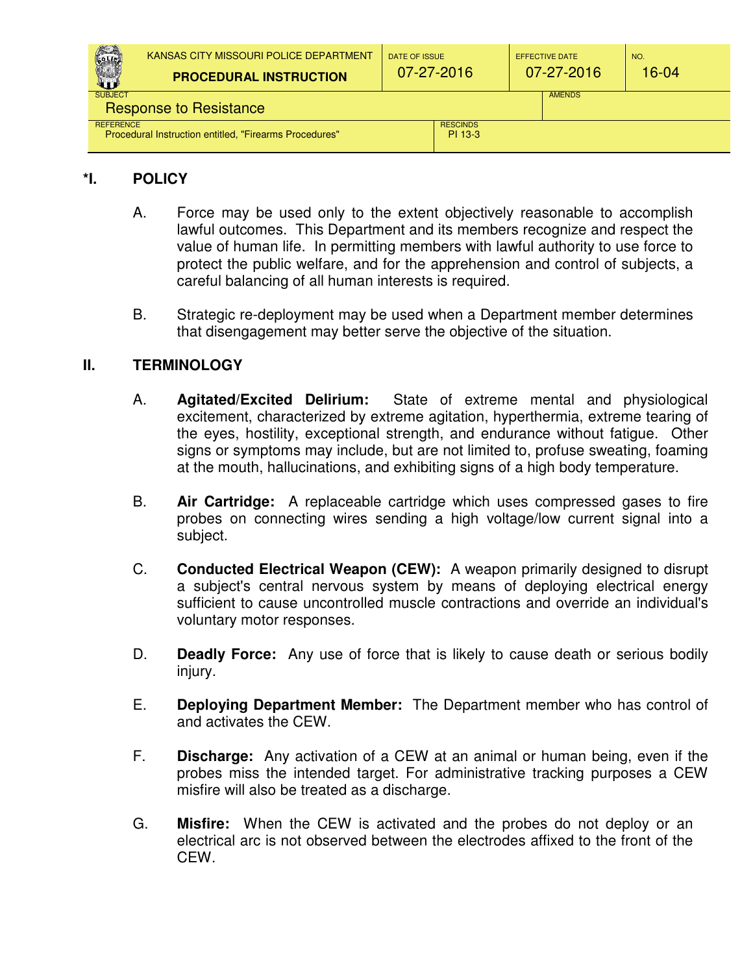| COLIC<br>W                                                       | KANSAS CITY MISSOURI POLICE DEPARTMENT<br><b>PROCEDURAL INSTRUCTION</b> | DATE OF ISSUE<br>07-27-2016 |  | <b>EFFECTIVE DATE</b><br>$07 - 27 - 2016$ | NO.<br>16-04 |
|------------------------------------------------------------------|-------------------------------------------------------------------------|-----------------------------|--|-------------------------------------------|--------------|
| <b>SUBJECT</b><br><b>AMENDS</b><br><b>Response to Resistance</b> |                                                                         |                             |  |                                           |              |
| <b>REFERENCE</b>                                                 | Procedural Instruction entitled, "Firearms Procedures"                  | <b>RESCINDS</b><br>PI 13-3  |  |                                           |              |

## **\*I. POLICY**

- A. Force may be used only to the extent objectively reasonable to accomplish lawful outcomes. This Department and its members recognize and respect the value of human life. In permitting members with lawful authority to use force to protect the public welfare, and for the apprehension and control of subjects, a careful balancing of all human interests is required.
- B. Strategic re-deployment may be used when a Department member determines that disengagement may better serve the objective of the situation.

# **II. TERMINOLOGY**

- A. **Agitated/Excited Delirium:** State of extreme mental and physiological excitement, characterized by extreme agitation, hyperthermia, extreme tearing of the eyes, hostility, exceptional strength, and endurance without fatigue. Other signs or symptoms may include, but are not limited to, profuse sweating, foaming at the mouth, hallucinations, and exhibiting signs of a high body temperature.
- B. **Air Cartridge:** A replaceable cartridge which uses compressed gases to fire probes on connecting wires sending a high voltage/low current signal into a subject.
- C. **Conducted Electrical Weapon (CEW):** A weapon primarily designed to disrupt a subject's central nervous system by means of deploying electrical energy sufficient to cause uncontrolled muscle contractions and override an individual's voluntary motor responses.
- D. **Deadly Force:** Any use of force that is likely to cause death or serious bodily injury.
- E. **Deploying Department Member:** The Department member who has control of and activates the CEW.
- F. **Discharge:** Any activation of a CEW at an animal or human being, even if the probes miss the intended target. For administrative tracking purposes a CEW misfire will also be treated as a discharge.
- G. **Misfire:** When the CEW is activated and the probes do not deploy or an electrical arc is not observed between the electrodes affixed to the front of the CEW.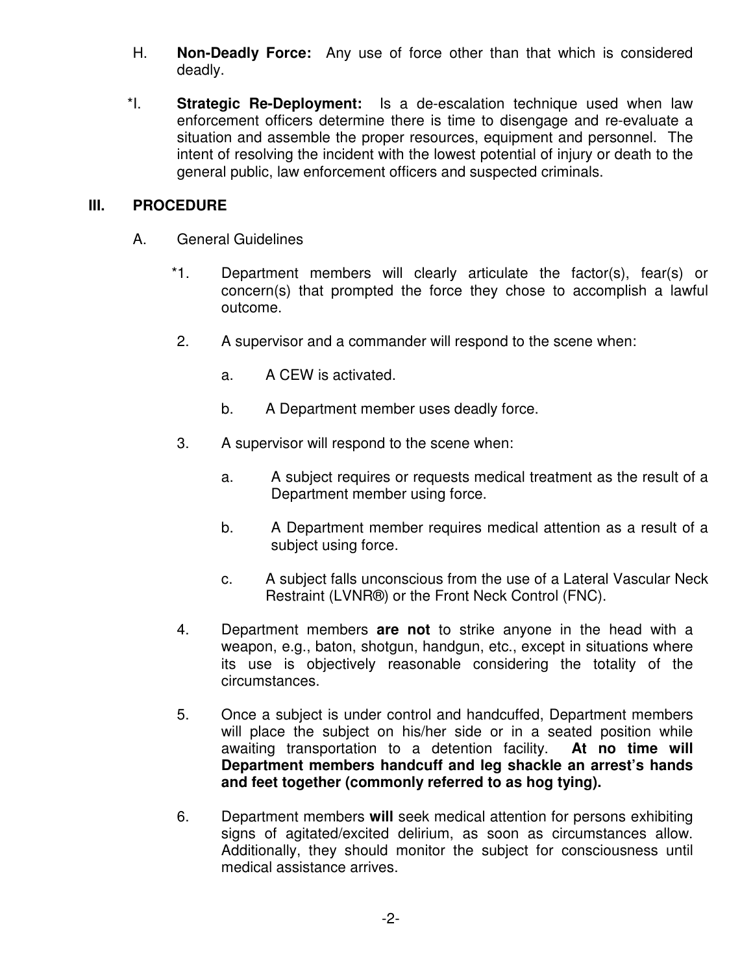- H. **Non-Deadly Force:** Any use of force other than that which is considered deadly.
- \*I. **Strategic Re-Deployment:** Is a de-escalation technique used when law enforcement officers determine there is time to disengage and re-evaluate a situation and assemble the proper resources, equipment and personnel. The intent of resolving the incident with the lowest potential of injury or death to the general public, law enforcement officers and suspected criminals.

### **III. PROCEDURE**

- A. General Guidelines
	- \*1. Department members will clearly articulate the factor(s), fear(s) or concern(s) that prompted the force they chose to accomplish a lawful outcome.
	- 2. A supervisor and a commander will respond to the scene when:
		- a. A CEW is activated.
		- b. A Department member uses deadly force.
	- 3. A supervisor will respond to the scene when:
		- a. A subject requires or requests medical treatment as the result of a Department member using force.
		- b. A Department member requires medical attention as a result of a subject using force.
		- c. A subject falls unconscious from the use of a Lateral Vascular Neck Restraint (LVNR®) or the Front Neck Control (FNC).
	- 4. Department members **are not** to strike anyone in the head with a weapon, e.g., baton, shotgun, handgun, etc., except in situations where its use is objectively reasonable considering the totality of the circumstances.
	- 5. Once a subject is under control and handcuffed, Department members will place the subject on his/her side or in a seated position while awaiting transportation to a detention facility. **At no time will Department members handcuff and leg shackle an arrest's hands and feet together (commonly referred to as hog tying).**
	- 6. Department members **will** seek medical attention for persons exhibiting signs of agitated/excited delirium, as soon as circumstances allow. Additionally, they should monitor the subject for consciousness until medical assistance arrives.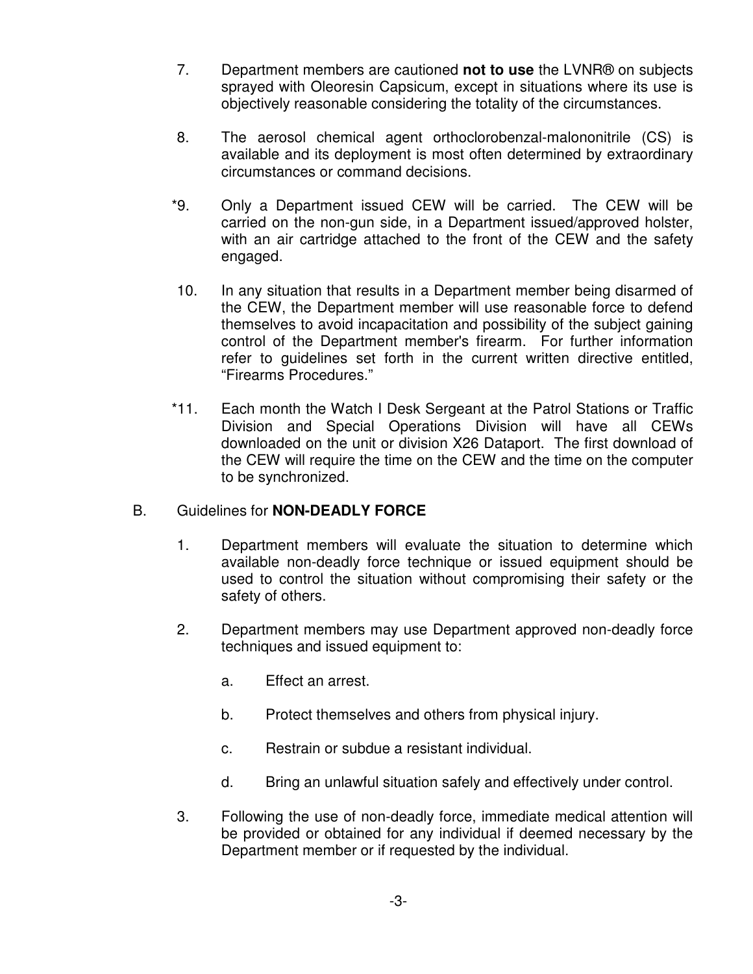- 7. Department members are cautioned **not to use** the LVNR® on subjects sprayed with Oleoresin Capsicum, except in situations where its use is objectively reasonable considering the totality of the circumstances.
- 8. The aerosol chemical agent orthoclorobenzal-malononitrile (CS) is available and its deployment is most often determined by extraordinary circumstances or command decisions.
- \*9. Only a Department issued CEW will be carried. The CEW will be carried on the non-gun side, in a Department issued/approved holster, with an air cartridge attached to the front of the CEW and the safety engaged.
- 10. In any situation that results in a Department member being disarmed of the CEW, the Department member will use reasonable force to defend themselves to avoid incapacitation and possibility of the subject gaining control of the Department member's firearm. For further information refer to guidelines set forth in the current written directive entitled, "Firearms Procedures."
- \*11. Each month the Watch I Desk Sergeant at the Patrol Stations or Traffic Division and Special Operations Division will have all CEWs downloaded on the unit or division X26 Dataport. The first download of the CEW will require the time on the CEW and the time on the computer to be synchronized.

### B. Guidelines for **NON-DEADLY FORCE**

- 1. Department members will evaluate the situation to determine which available non-deadly force technique or issued equipment should be used to control the situation without compromising their safety or the safety of others.
- 2. Department members may use Department approved non-deadly force techniques and issued equipment to:
	- a. Effect an arrest.
	- b. Protect themselves and others from physical injury.
	- c. Restrain or subdue a resistant individual.
	- d. Bring an unlawful situation safely and effectively under control.
- 3. Following the use of non-deadly force, immediate medical attention will be provided or obtained for any individual if deemed necessary by the Department member or if requested by the individual.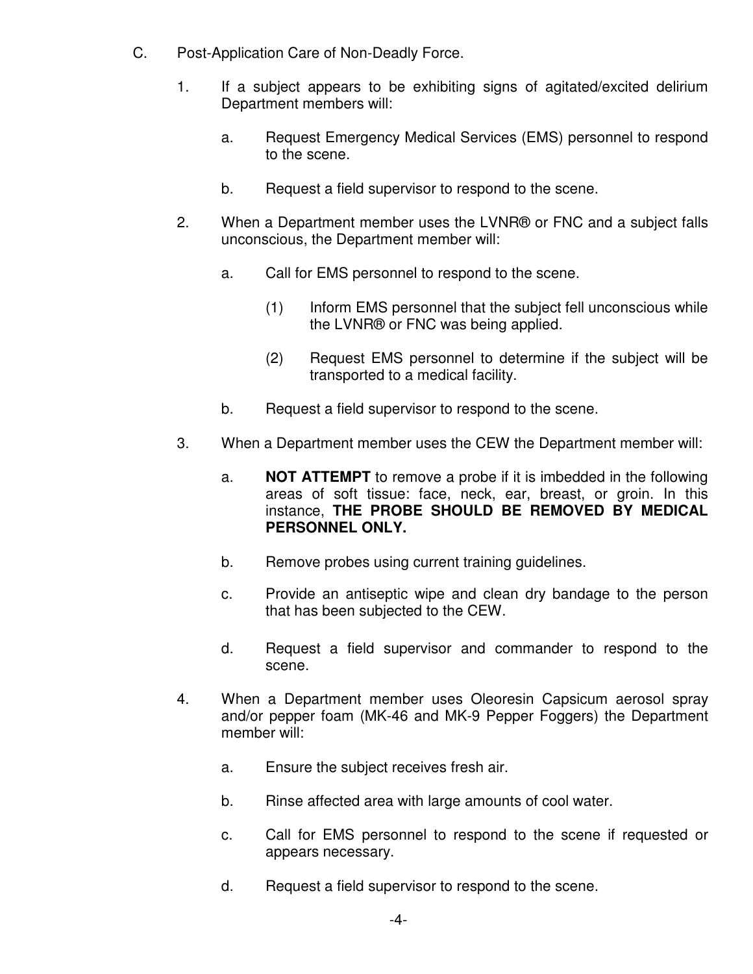- C. Post-Application Care of Non-Deadly Force.
	- 1. If a subject appears to be exhibiting signs of agitated/excited delirium Department members will:
		- a. Request Emergency Medical Services (EMS) personnel to respond to the scene.
		- b. Request a field supervisor to respond to the scene.
	- 2. When a Department member uses the LVNR® or FNC and a subject falls unconscious, the Department member will:
		- a. Call for EMS personnel to respond to the scene.
			- (1) Inform EMS personnel that the subject fell unconscious while the LVNR® or FNC was being applied.
			- (2) Request EMS personnel to determine if the subject will be transported to a medical facility.
		- b. Request a field supervisor to respond to the scene.
	- 3. When a Department member uses the CEW the Department member will:
		- a. **NOT ATTEMPT** to remove a probe if it is imbedded in the following areas of soft tissue: face, neck, ear, breast, or groin. In this instance, **THE PROBE SHOULD BE REMOVED BY MEDICAL PERSONNEL ONLY.**
		- b. Remove probes using current training guidelines.
		- c. Provide an antiseptic wipe and clean dry bandage to the person that has been subjected to the CEW.
		- d. Request a field supervisor and commander to respond to the scene.
	- 4. When a Department member uses Oleoresin Capsicum aerosol spray and/or pepper foam (MK-46 and MK-9 Pepper Foggers) the Department member will:
		- a. Ensure the subject receives fresh air.
		- b. Rinse affected area with large amounts of cool water.
		- c. Call for EMS personnel to respond to the scene if requested or appears necessary.
		- d. Request a field supervisor to respond to the scene.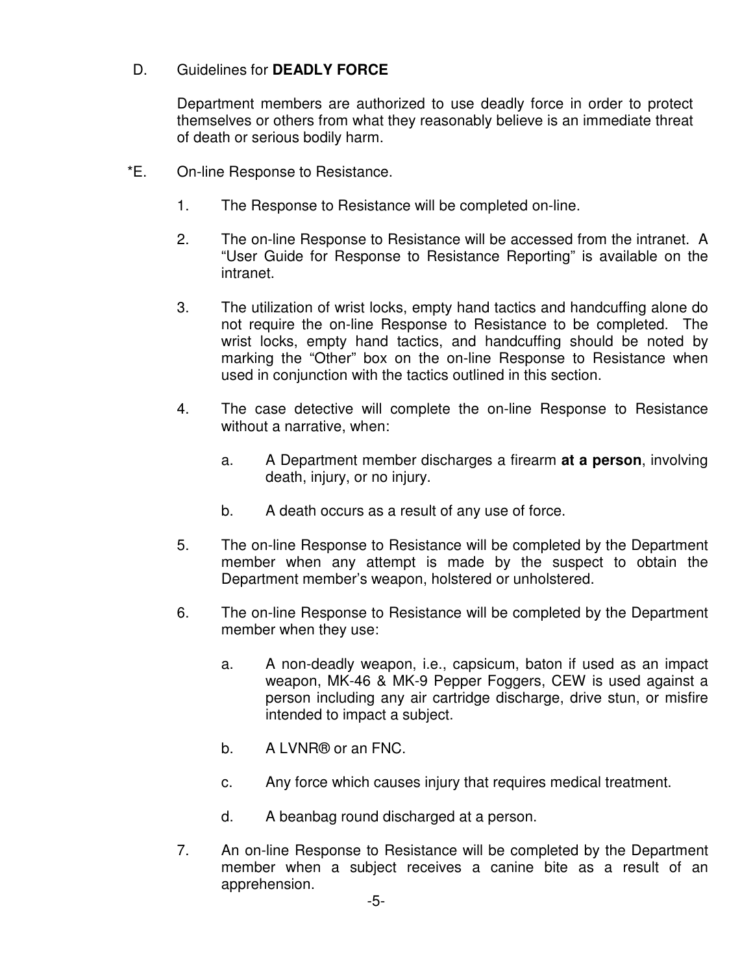### D. Guidelines for **DEADLY FORCE**

Department members are authorized to use deadly force in order to protect themselves or others from what they reasonably believe is an immediate threat of death or serious bodily harm.

- \*E. On-line Response to Resistance.
	- 1. The Response to Resistance will be completed on-line.
	- 2. The on-line Response to Resistance will be accessed from the intranet. A "User Guide for Response to Resistance Reporting" is available on the intranet.
	- 3. The utilization of wrist locks, empty hand tactics and handcuffing alone do not require the on-line Response to Resistance to be completed. The wrist locks, empty hand tactics, and handcuffing should be noted by marking the "Other" box on the on-line Response to Resistance when used in conjunction with the tactics outlined in this section.
	- 4. The case detective will complete the on-line Response to Resistance without a narrative, when:
		- a. A Department member discharges a firearm **at a person**, involving death, injury, or no injury.
		- b. A death occurs as a result of any use of force.
	- 5. The on-line Response to Resistance will be completed by the Department member when any attempt is made by the suspect to obtain the Department member's weapon, holstered or unholstered.
	- 6. The on-line Response to Resistance will be completed by the Department member when they use:
		- a. A non-deadly weapon, i.e., capsicum, baton if used as an impact weapon, MK-46 & MK-9 Pepper Foggers, CEW is used against a person including any air cartridge discharge, drive stun, or misfire intended to impact a subject.
		- b. A LVNR® or an FNC.
		- c. Any force which causes injury that requires medical treatment.
		- d. A beanbag round discharged at a person.
	- 7. An on-line Response to Resistance will be completed by the Department member when a subject receives a canine bite as a result of an apprehension.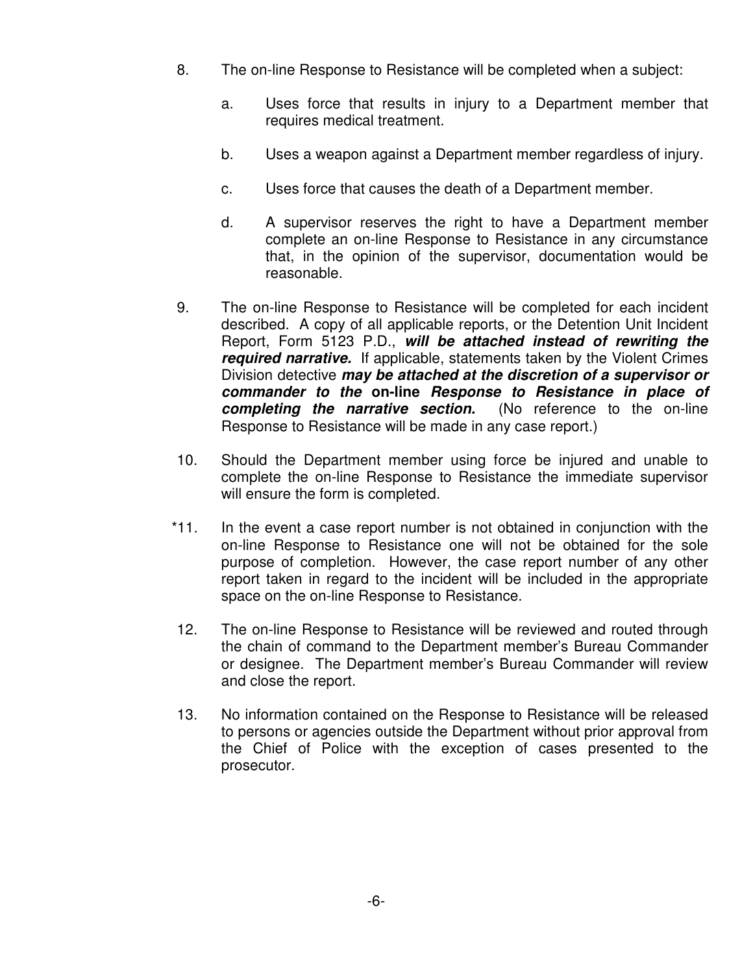- 8. The on-line Response to Resistance will be completed when a subject:
	- a. Uses force that results in injury to a Department member that requires medical treatment.
	- b. Uses a weapon against a Department member regardless of injury.
	- c. Uses force that causes the death of a Department member.
	- d. A supervisor reserves the right to have a Department member complete an on-line Response to Resistance in any circumstance that, in the opinion of the supervisor, documentation would be reasonable.
- 9. The on-line Response to Resistance will be completed for each incident described. A copy of all applicable reports, or the Detention Unit Incident Report, Form 5123 P.D., **will be attached instead of rewriting the required narrative.** If applicable, statements taken by the Violent Crimes Division detective **may be attached at the discretion of a supervisor or commander to the on-line Response to Resistance in place of completing the narrative section.** (No reference to the on-line Response to Resistance will be made in any case report.)
- 10. Should the Department member using force be injured and unable to complete the on-line Response to Resistance the immediate supervisor will ensure the form is completed.
- \*11. In the event a case report number is not obtained in conjunction with the on-line Response to Resistance one will not be obtained for the sole purpose of completion. However, the case report number of any other report taken in regard to the incident will be included in the appropriate space on the on-line Response to Resistance.
- 12. The on-line Response to Resistance will be reviewed and routed through the chain of command to the Department member's Bureau Commander or designee. The Department member's Bureau Commander will review and close the report.
- 13. No information contained on the Response to Resistance will be released to persons or agencies outside the Department without prior approval from the Chief of Police with the exception of cases presented to the prosecutor.